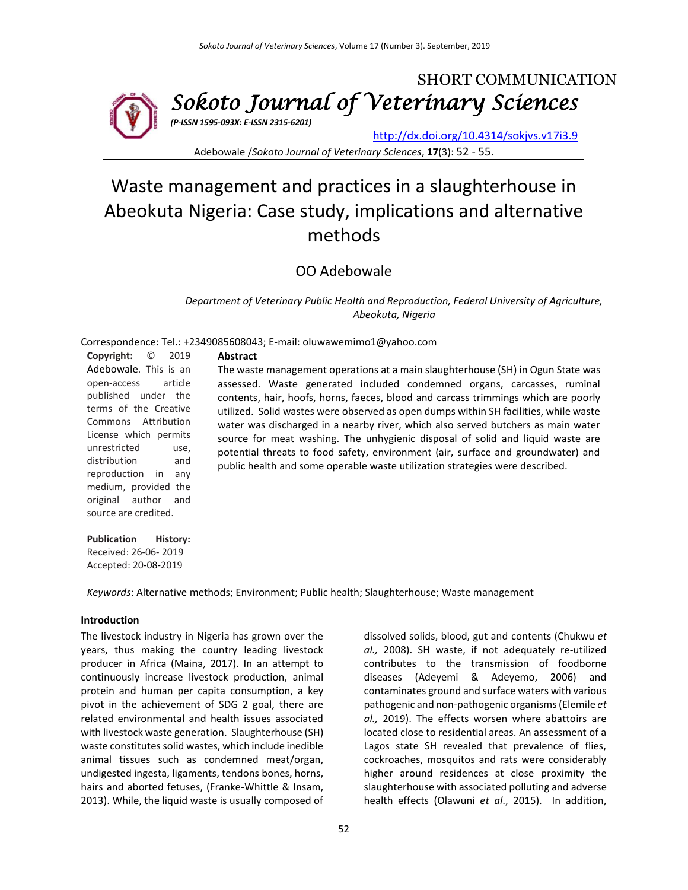

Adebowale /*Sokoto Journal of Veterinary Sciences*, **17**(3): 52 - 55.

# Waste management and practices in a slaughterhouse in Abeokuta Nigeria: Case study, implications and alternative methods

# OO Adebowale

*Department of Veterinary Public Health and Reproduction, Federal University of Agriculture, Abeokuta, Nigeria*

Correspondence: Tel.: +2349085608043; E-mail: oluwawemimo1@yahoo.com

| O<br>Copyright:<br>2019                                                                                                                                                                                                                                                                               | <b>Abstract</b>                                                                                                                                                                                                                                                                                                                                                                                                                                                                                                                                                                                                                                                                    |
|-------------------------------------------------------------------------------------------------------------------------------------------------------------------------------------------------------------------------------------------------------------------------------------------------------|------------------------------------------------------------------------------------------------------------------------------------------------------------------------------------------------------------------------------------------------------------------------------------------------------------------------------------------------------------------------------------------------------------------------------------------------------------------------------------------------------------------------------------------------------------------------------------------------------------------------------------------------------------------------------------|
| Adebowale. This is an<br>article<br>open-access<br>published under the<br>terms of the Creative<br>Attribution<br>Commons<br>License which permits<br>unrestricted<br>use,<br>distribution<br>and<br>reproduction in<br>any<br>medium, provided the<br>original author<br>and<br>source are credited. | The waste management operations at a main slaughterhouse (SH) in Ogun State was<br>assessed. Waste generated included condemned organs, carcasses, ruminal<br>contents, hair, hoofs, horns, faeces, blood and carcass trimmings which are poorly<br>utilized. Solid wastes were observed as open dumps within SH facilities, while waste<br>water was discharged in a nearby river, which also served butchers as main water<br>source for meat washing. The unhygienic disposal of solid and liquid waste are<br>potential threats to food safety, environment (air, surface and groundwater) and<br>public health and some operable waste utilization strategies were described. |
| <b>Publication</b><br>History:<br>Received: 26-06-2019                                                                                                                                                                                                                                                |                                                                                                                                                                                                                                                                                                                                                                                                                                                                                                                                                                                                                                                                                    |

Accepted: 20-08-2019

*Keywords*: Alternative methods; Environment; Public health; Slaughterhouse; Waste management

#### **Introduction**

The livestock industry in Nigeria has grown over the years, thus making the country leading livestock producer in Africa (Maina, 2017). In an attempt to continuously increase livestock production, animal protein and human per capita consumption, a key pivot in the achievement of SDG 2 goal, there are related environmental and health issues associated with livestock waste generation. Slaughterhouse (SH) waste constitutes solid wastes, which include inedible animal tissues such as condemned meat/organ, undigested ingesta, ligaments, tendons bones, horns, hairs and aborted fetuses, (Franke-Whittle & Insam, 2013). While, the liquid waste is usually composed of dissolved solids, blood, gut and contents (Chukwu *et al.,* 2008). SH waste, if not adequately re-utilized contributes to the transmission of foodborne diseases (Adeyemi & Adeyemo, 2006) and contaminates ground and surface waters with various pathogenic and non-pathogenic organisms (Elemile *et al.,* 2019). The effects worsen where abattoirs are located close to residential areas. An assessment of a Lagos state SH revealed that prevalence of flies, cockroaches, mosquitos and rats were considerably higher around residences at close proximity the slaughterhouse with associated polluting and adverse health effects (Olawuni *et al*., 2015). In addition,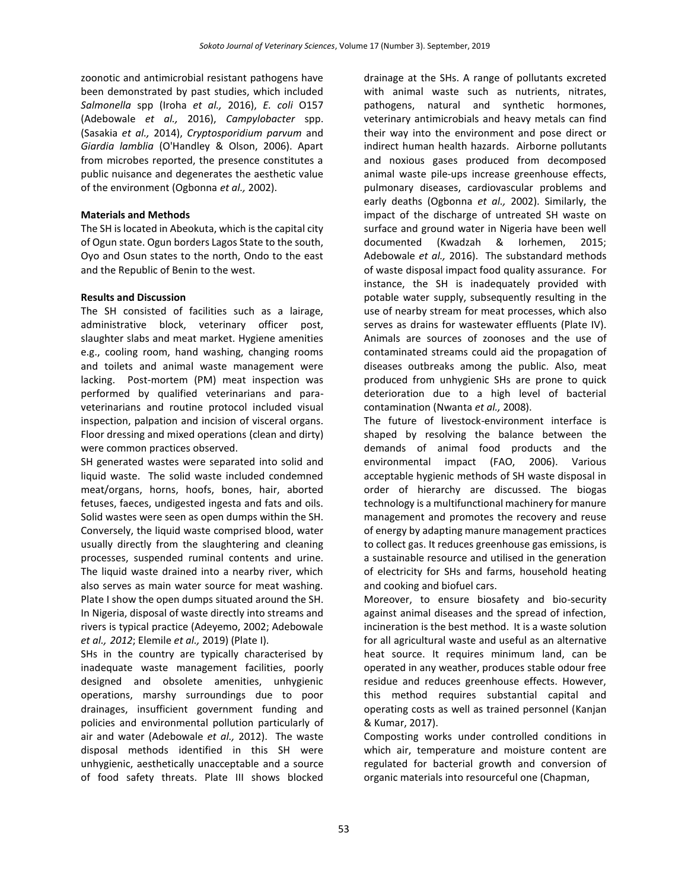zoonotic and antimicrobial resistant pathogens have been demonstrated by past studies, which included *Salmonella* spp (Iroha *et al.,* 2016), *E. coli* O157 (Adebowale *et al.,* 2016), *Campylobacter* spp. (Sasakia *et al.,* 2014), *Cryptosporidium parvum* and *Giardia lamblia* (O'Handley & Olson, 2006). Apart from microbes reported, the presence constitutes a public nuisance and degenerates the aesthetic value of the environment (Ogbonna *et al.,* 2002).

### **Materials and Methods**

The SH is located in Abeokuta, which is the capital city of Ogun state. Ogun borders Lagos State to the south, Oyo and Osun states to the north, Ondo to the east and the Republic of Benin to the west.

## **Results and Discussion**

The SH consisted of facilities such as a lairage, administrative block, veterinary officer post, slaughter slabs and meat market. Hygiene amenities e.g., cooling room, hand washing, changing rooms and toilets and animal waste management were lacking. Post-mortem (PM) meat inspection was performed by qualified veterinarians and paraveterinarians and routine protocol included visual inspection, palpation and incision of visceral organs. Floor dressing and mixed operations (clean and dirty) were common practices observed.

SH generated wastes were separated into solid and liquid waste. The solid waste included condemned meat/organs, horns, hoofs, bones, hair, aborted fetuses, faeces, undigested ingesta and fats and oils. Solid wastes were seen as open dumps within the SH. Conversely, the liquid waste comprised blood, water usually directly from the slaughtering and cleaning processes, suspended ruminal contents and urine. The liquid waste drained into a nearby river, which also serves as main water source for meat washing. Plate I show the open dumps situated around the SH. In Nigeria, disposal of waste directly into streams and rivers is typical practice (Adeyemo, 2002; Adebowale *et al., 2012*; Elemile *et al.,* 2019) (Plate I).

SHs in the country are typically characterised by inadequate waste management facilities, poorly designed and obsolete amenities, unhygienic operations, marshy surroundings due to poor drainages, insufficient government funding and policies and environmental pollution particularly of air and water (Adebowale *et al.,* 2012). The waste disposal methods identified in this SH were unhygienic, aesthetically unacceptable and a source of food safety threats. Plate III shows blocked drainage at the SHs. A range of pollutants excreted with animal waste such as nutrients, nitrates, pathogens, natural and synthetic hormones, veterinary antimicrobials and heavy metals can find their way into the environment and pose direct or indirect human health hazards. Airborne pollutants and noxious gases produced from decomposed animal waste pile-ups increase greenhouse effects, pulmonary diseases, cardiovascular problems and early deaths (Ogbonna *et al.,* 2002). Similarly, the impact of the discharge of untreated SH waste on surface and ground water in Nigeria have been well documented (Kwadzah & Iorhemen, 2015; Adebowale *et al.,* 2016). The substandard methods of waste disposal impact food quality assurance. For instance, the SH is inadequately provided with potable water supply, subsequently resulting in the use of nearby stream for meat processes, which also serves as drains for wastewater effluents (Plate IV). Animals are sources of zoonoses and the use of contaminated streams could aid the propagation of diseases outbreaks among the public. Also, meat produced from unhygienic SHs are prone to quick deterioration due to a high level of bacterial contamination (Nwanta *et al.,* 2008).

The future of livestock-environment interface is shaped by resolving the balance between the demands of animal food products and the environmental impact (FAO, 2006). Various acceptable hygienic methods of SH waste disposal in order of hierarchy are discussed. The biogas technology is a multifunctional machinery for manure management and promotes the recovery and reuse of energy by adapting manure management practices to collect gas. It reduces greenhouse gas emissions, is a sustainable resource and utilised in the generation of electricity for SHs and farms, household heating and cooking and biofuel cars.

Moreover, to ensure biosafety and bio-security against animal diseases and the spread of infection, incineration is the best method. It is a waste solution for all agricultural waste and useful as an alternative heat source. It requires minimum land, can be operated in any weather, produces stable odour free residue and reduces greenhouse effects. However, this method requires substantial capital and operating costs as well as trained personnel (Kanjan & Kumar, 2017).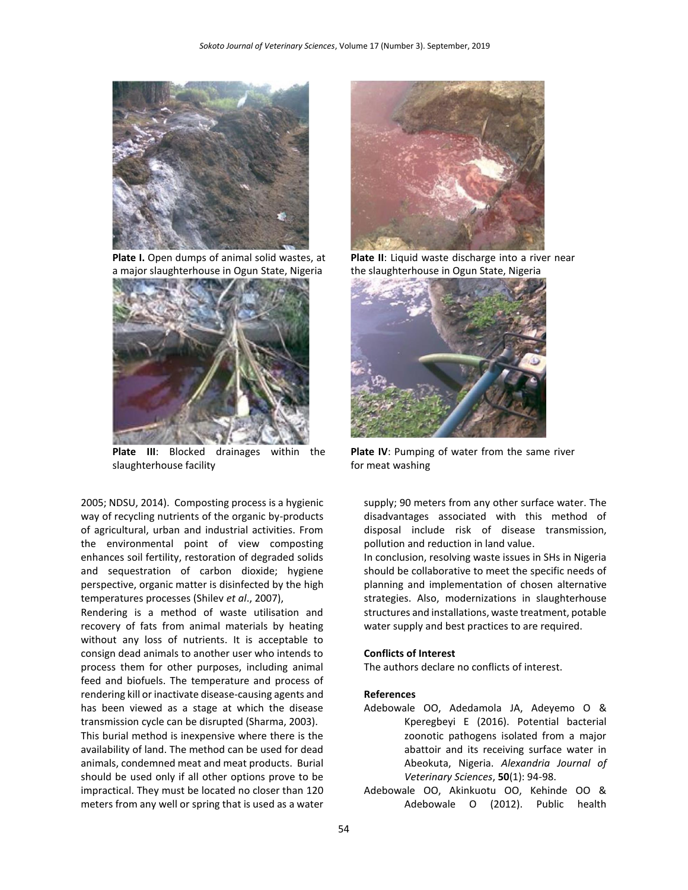

**Plate I.** Open dumps of animal solid wastes, at a major slaughterhouse in Ogun State, Nigeria



**Plate III**: Blocked drainages within the slaughterhouse facility

2005; NDSU, 2014). Composting process is a hygienic way of recycling nutrients of the organic by-products of agricultural, urban and industrial activities. From the environmental point of view composting enhances soil fertility, restoration of degraded solids and sequestration of carbon dioxide; hygiene perspective, organic matter is disinfected by the high temperatures processes (Shilev *et al*., 2007),

Rendering is a method of waste utilisation and recovery of fats from animal materials by heating without any loss of nutrients. It is acceptable to consign dead animals to another user who intends to process them for other purposes, including animal feed and biofuels. The temperature and process of rendering kill or inactivate disease-causing agents and has been viewed as a stage at which the disease transmission cycle can be disrupted (Sharma, 2003).

This burial method is inexpensive where there is the availability of land. The method can be used for dead animals, condemned meat and meat products. Burial should be used only if all other options prove to be impractical. They must be located no closer than 120 meters from any well or spring that is used as a water



**Plate II**: Liquid waste discharge into a river near the slaughterhouse in Ogun State, Nigeria



**Plate IV**: Pumping of water from the same river for meat washing

supply; 90 meters from any other surface water. The disadvantages associated with this method of disposal include risk of disease transmission, pollution and reduction in land value.

In conclusion, resolving waste issues in SHs in Nigeria should be collaborative to meet the specific needs of planning and implementation of chosen alternative strategies. Also, modernizations in slaughterhouse structures and installations, waste treatment, potable water supply and best practices to are required.

#### **Conflicts of Interest**

The authors declare no conflicts of interest.

#### **References**

- Adebowale OO, Adedamola JA, Adeyemo O & Kperegbeyi E (2016). Potential bacterial zoonotic pathogens isolated from a major abattoir and its receiving surface water in Abeokuta, Nigeria. *Alexandria Journal of Veterinary Sciences*, **50**(1): 94-98.
- Adebowale OO, Akinkuotu OO, Kehinde OO & Adebowale O (2012). Public health